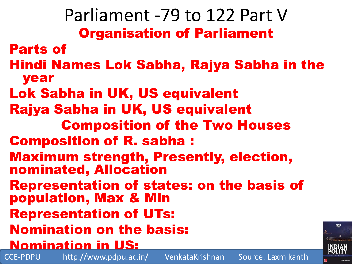Parliament -79 to 122 Part V Organisation of Parliament Parts of Hindi Names Lok Sabha, Rajya Sabha in the year Lok Sabha in UK, US equivalent Rajya Sabha in UK, US equivalent Composition of the Two Houses Composition of R. sabha : Maximum strength, Presently, election, nominated, Allocation Representation of states: on the basis of population, Max & Min Representation of UTs: Nomination on the basis: Nomination in US:

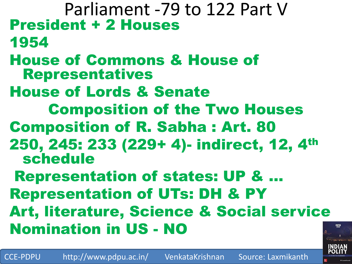Parliament -79 to 122 Part V President + 2 Houses 1954 House of Commons & House of Representatives House of Lords & Senate Composition of the Two Houses Composition of R. Sabha : Art. 80 250, 245: 233 (229+ 4)- indirect, 12, 4th schedule Representation of states: UP & … Representation of UTs: DH & PY Art, literature, Science & Social service Nomination in US - NO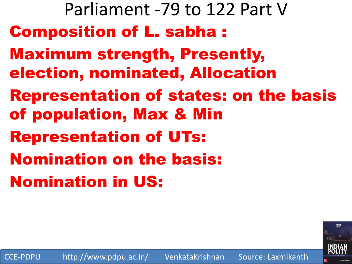Parliament -79 to 122 Part V Composition of L. sabha : Maximum strength, Presently, election, nominated, Allocation Representation of states: on the basis of population, Max & Min Representation of UTs: Nomination on the basis: Nomination in US: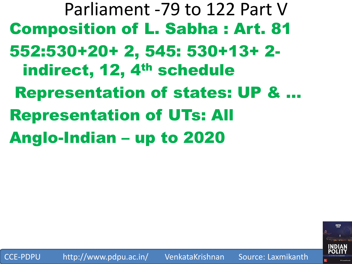Parliament -79 to 122 Part V Composition of L. Sabha : Art. 81 552:530+20+ 2, 545: 530+13+ 2 indirect, 12, 4<sup>th</sup> schedule Representation of states: UP & … Representation of UTs: All Anglo-Indian – up to 2020

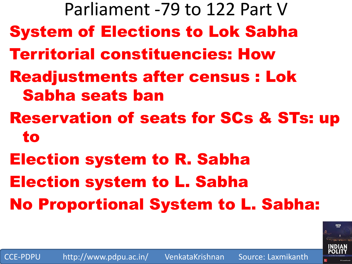Parliament -79 to 122 Part V System of Elections to Lok Sabha Territorial constituencies: How Readjustments after census : Lok Sabha seats ban Reservation of seats for SCs & STs: up to Election system to R. Sabha Election system to L. Sabha No Proportional System to L. Sabha:

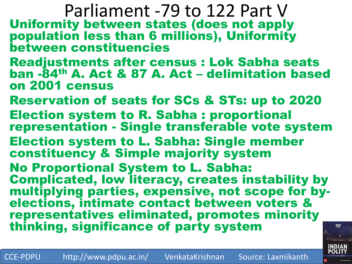Parliament -79 to 122 Part V Uniformity between states (does not apply population less than 6 millions), Uniformity between constituencies

- Readjustments after census : Lok Sabha seats ban -84th A. Act & 87 A. Act – delimitation based on 2001 census
- Reservation of seats for SCs & STs: up to 2020
- Election system to R. Sabha : proportional representation - Single transferable vote system
- Election system to L. Sabha: Single member constituency & Simple majority system
- No Proportional System to L. Sabha: Complicated, low literacy, creates instability by multiplying parties, expensive, not scope for byelections, intimate contact between voters & representatives eliminated, promotes minority thinking, significance of party system

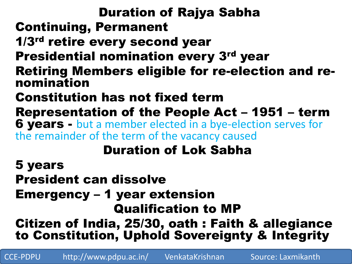## Duration of Rajya Sabha Continuing, Permanent 1/3<sup>rd</sup> retire every second year Presidential nomination every 3<sup>rd</sup> year Retiring Members eligible for re-election and renomination Constitution has not fixed term Representation of the People Act – 1951 – term 6 years - but a member elected in a bye-election serves for the remainder of the term of the vacancy caused Duration of Lok Sabha 5 years President can dissolve Emergency – 1 year extension Qualification to MP Citizen of India, 25/30, oath : Faith & allegiance

to Constitution, Uphold Sovereignty & Integrity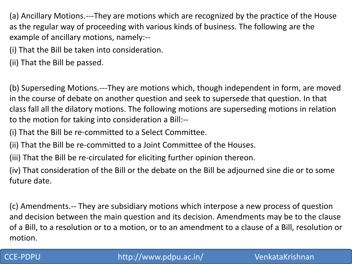(a) Ancillary Motions.---They are motions which are recognized by the practice of the House as the regular way of proceeding with various kinds of business. The following are the example of ancillary motions, namely:--

(i) That the Bill be taken into consideration.

(ii) That the Bill be passed.

(b) Superseding Motions.---They are motions which, though independent in form, are moved in the course of debate on another question and seek to supersede that question. In that class fall all the dilatory motions. The following motions are superseding motions in relation to the motion for taking into consideration a Bill:--

(i) That the Bill be re-committed to a Select Committee.

(ii) That the Bill be re-committed to a Joint Committee of the Houses.

(iii) That the Bill be re-circulated for eliciting further opinion thereon.

(iv) That consideration of the Bill or the debate on the Bill be adjourned sine die or to some future date.

(c) Amendments.-- They are subsidiary motions which interpose a new process of question and decision between the main question and its decision. Amendments may be to the clause of a Bill, to a resolution or to a motion, or to an amendment to a clause of a Bill, resolution or motion.